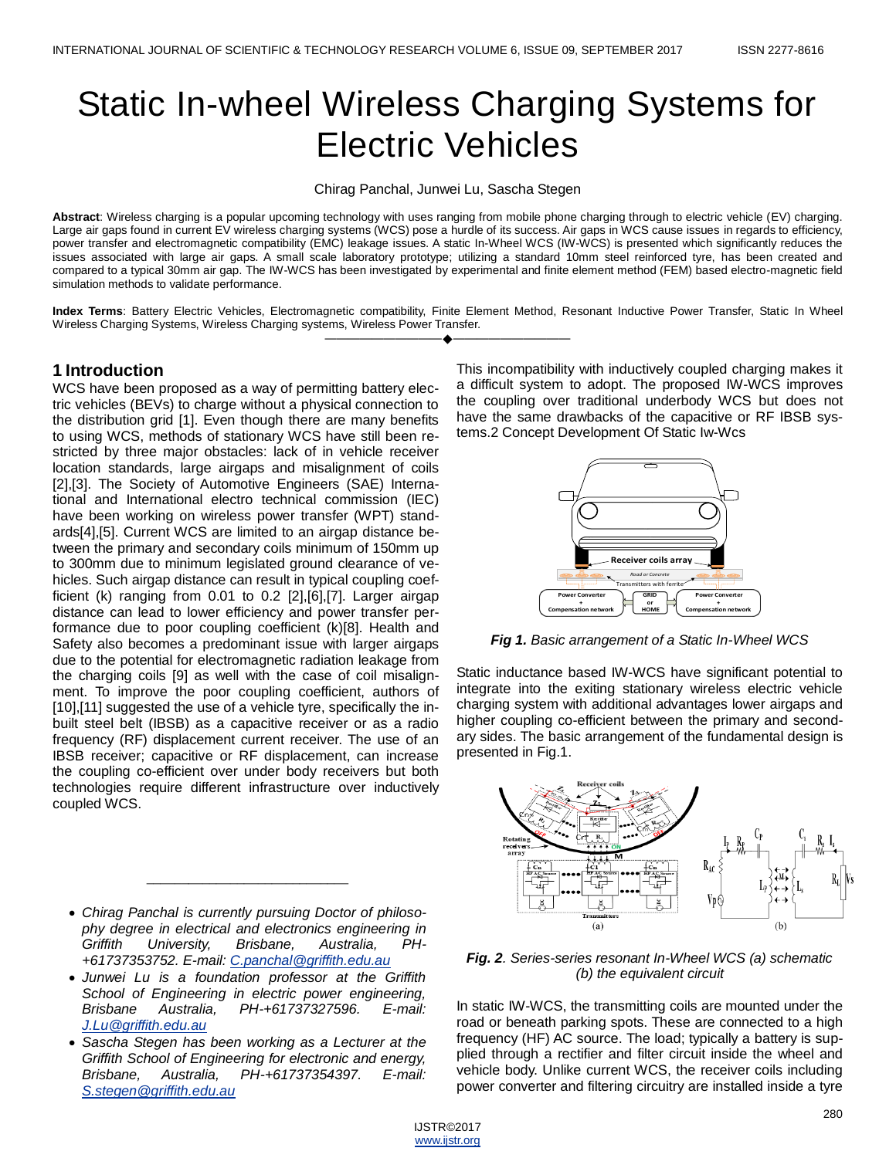# Static In-wheel Wireless Charging Systems for Electric Vehicles

Chirag Panchal, Junwei Lu, Sascha Stegen

**Abstract**: Wireless charging is a popular upcoming technology with uses ranging from mobile phone charging through to electric vehicle (EV) charging. Large air gaps found in current EV wireless charging systems (WCS) pose a hurdle of its success. Air gaps in WCS cause issues in regards to efficiency, power transfer and electromagnetic compatibility (EMC) leakage issues. A static In-Wheel WCS (IW-WCS) is presented which significantly reduces the issues associated with large air gaps. A small scale laboratory prototype; utilizing a standard 10mm steel reinforced tyre, has been created and compared to a typical 30mm air gap. The IW-WCS has been investigated by experimental and finite element method (FEM) based electro-magnetic field simulation methods to validate performance.

**Index Terms**: Battery Electric Vehicles, Electromagnetic compatibility, Finite Element Method, Resonant Inductive Power Transfer, Static In Wheel Wireless Charging Systems, Wireless Charging systems, Wireless Power Transfer. ————————————————————

## **1 Introduction**

WCS have been proposed as a way of permitting battery electric vehicles (BEVs) to charge without a physical connection to the distribution grid [1]. Even though there are many benefits to using WCS, methods of stationary WCS have still been restricted by three major obstacles: lack of in vehicle receiver location standards, large airgaps and misalignment of coils [2],[3]. The Society of Automotive Engineers (SAE) International and International electro technical commission (IEC) have been working on wireless power transfer (WPT) standards[4],[5]. Current WCS are limited to an airgap distance between the primary and secondary coils minimum of 150mm up to 300mm due to minimum legislated ground clearance of vehicles. Such airgap distance can result in typical coupling coefficient (k) ranging from 0.01 to 0.2 [2],[6],[7]. Larger airgap distance can lead to lower efficiency and power transfer performance due to poor coupling coefficient (k)[8]. Health and Safety also becomes a predominant issue with larger airgaps due to the potential for electromagnetic radiation leakage from the charging coils [9] as well with the case of coil misalignment. To improve the poor coupling coefficient, authors of [10],[11] suggested the use of a vehicle tyre, specifically the inbuilt steel belt (IBSB) as a capacitive receiver or as a radio frequency (RF) displacement current receiver. The use of an IBSB receiver; capacitive or RF displacement, can increase the coupling co-efficient over under body receivers but both technologies require different infrastructure over inductively coupled WCS.

 *Chirag Panchal is currently pursuing Doctor of philosophy degree in electrical and electronics engineering in Griffith University, Brisbane, Australia, PH- +61737353752. E-mail: [C.panchal@griffith.edu.au](mailto:C.panchal@griffith.edu.au)*

 $\frac{1}{2}$  ,  $\frac{1}{2}$  ,  $\frac{1}{2}$  ,  $\frac{1}{2}$  ,  $\frac{1}{2}$  ,  $\frac{1}{2}$  ,  $\frac{1}{2}$  ,  $\frac{1}{2}$  ,  $\frac{1}{2}$  ,  $\frac{1}{2}$  ,  $\frac{1}{2}$  ,  $\frac{1}{2}$  ,  $\frac{1}{2}$  ,  $\frac{1}{2}$  ,  $\frac{1}{2}$  ,  $\frac{1}{2}$  ,  $\frac{1}{2}$  ,  $\frac{1}{2}$  ,  $\frac{1$ 

- *Junwei Lu is a foundation professor at the Griffith School of Engineering in electric power engineering, Brisbane Australia, PH-+61737327596. E-mail: [J.Lu@griffith.edu.au](mailto:J.Lu@griffith.edu.au)*
- *Sascha Stegen has been working as a Lecturer at the Griffith School of Engineering for electronic and energy, Brisbane, Australia, PH-+61737354397. E-mail: [S.stegen@griffith.edu.au](mailto:S.stegen@griffith.edu.au)*

This incompatibility with inductively coupled charging makes it a difficult system to adopt. The proposed IW-WCS improves the coupling over traditional underbody WCS but does not have the same drawbacks of the capacitive or RF IBSB systems.2 Concept Development Of Static Iw-Wcs



*Fig 1. Basic arrangement of a Static In-Wheel WCS*

Static inductance based IW-WCS have significant potential to integrate into the exiting stationary wireless electric vehicle charging system with additional advantages lower airgaps and higher coupling co-efficient between the primary and secondary sides. The basic arrangement of the fundamental design is presented in Fig.1.



*Fig. 2. Series-series resonant In-Wheel WCS (a) schematic (b) the equivalent circuit*

In static IW-WCS, the transmitting coils are mounted under the road or beneath parking spots. These are connected to a high frequency (HF) AC source. The load; typically a battery is supplied through a rectifier and filter circuit inside the wheel and vehicle body. Unlike current WCS, the receiver coils including power converter and filtering circuitry are installed inside a tyre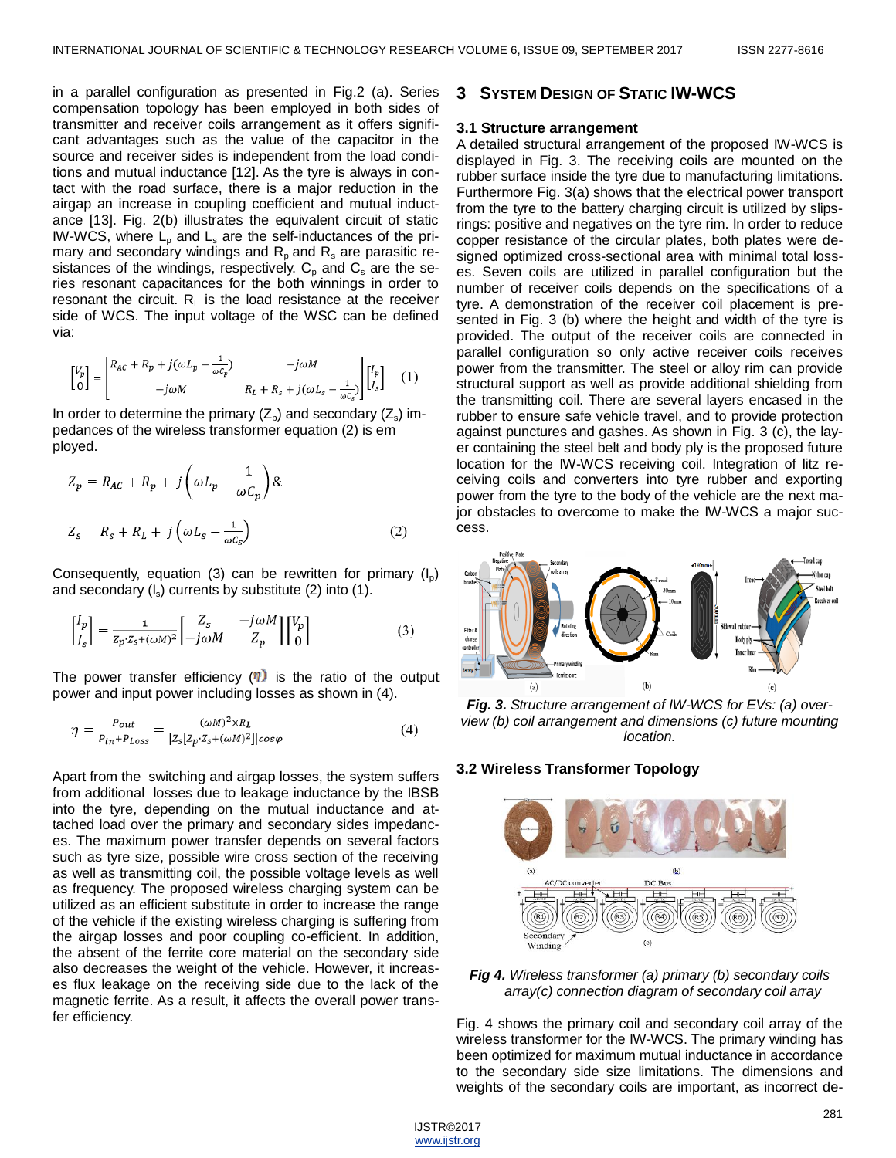in a parallel configuration as presented in Fig.2 (a). Series compensation topology has been employed in both sides of transmitter and receiver coils arrangement as it offers significant advantages such as the value of the capacitor in the source and receiver sides is independent from the load conditions and mutual inductance [12]. As the tyre is always in contact with the road surface, there is a major reduction in the airgap an increase in coupling coefficient and mutual inductance [13]. Fig. 2(b) illustrates the equivalent circuit of static IW-WCS, where  $L<sub>p</sub>$  and  $L<sub>s</sub>$  are the self-inductances of the primary and secondary windings and  $R_p$  and  $R_s$  are parasitic resistances of the windings, respectively.  $C_p$  and  $C_s$  are the series resonant capacitances for the both winnings in order to resonant the circuit.  $R_1$  is the load resistance at the receiver side of WCS. The input voltage of the WSC can be defined via:

$$
\begin{bmatrix} V_p \\ 0 \end{bmatrix} = \begin{bmatrix} R_{AC} + R_p + j(\omega L_p - \frac{1}{\omega C_p}) & -j\omega M \\ -j\omega M & R_L + R_s + j(\omega L_s - \frac{1}{\omega C_s}) \end{bmatrix} \begin{bmatrix} I_p \\ I_s \end{bmatrix} \quad (1)
$$

In order to determine the primary  $(Z_{p})$  and secondary  $(Z_{s})$  impedances of the wireless transformer equation (2) is em ployed.

$$
Z_p = R_{AC} + R_p + j \left( \omega L_p - \frac{1}{\omega C_p} \right) \&
$$
  

$$
Z_s = R_s + R_L + j \left( \omega L_s - \frac{1}{\omega C_e} \right)
$$
 (2)

Consequently, equation (3) can be rewritten for primary  $(I_0)$ and secondary (I<sub>s</sub>) currents by substitute (2) into (1).

$$
\begin{bmatrix} I_p \\ I_s \end{bmatrix} = \frac{1}{z_p \cdot z_s + (\omega M)^2} \begin{bmatrix} Z_s & -j\omega M \\ -j\omega M & Z_p \end{bmatrix} \begin{bmatrix} V_p \\ 0 \end{bmatrix}
$$
 (3)

The power transfer efficiency  $(\eta)$  is the ratio of the output power and input power including losses as shown in (4).

$$
\eta = \frac{P_{out}}{P_{in} + P_{Loss}} = \frac{(\omega M)^2 \times R_L}{|Z_s[Z_p \cdot Z_s + (\omega M)^2]|cos\varphi}
$$
(4)

Apart from the switching and airgap losses, the system suffers from additional losses due to leakage inductance by the IBSB into the tyre, depending on the mutual inductance and attached load over the primary and secondary sides impedances. The maximum power transfer depends on several factors such as tyre size, possible wire cross section of the receiving as well as transmitting coil, the possible voltage levels as well as frequency. The proposed wireless charging system can be utilized as an efficient substitute in order to increase the range of the vehicle if the existing wireless charging is suffering from the airgap losses and poor coupling co-efficient. In addition, the absent of the ferrite core material on the secondary side also decreases the weight of the vehicle. However, it increases flux leakage on the receiving side due to the lack of the magnetic ferrite. As a result, it affects the overall power transfer efficiency.

#### **3 SYSTEM DESIGN OF STATIC IW-WCS**

#### **3.1 Structure arrangement**

A detailed structural arrangement of the proposed IW-WCS is displayed in Fig. 3. The receiving coils are mounted on the rubber surface inside the tyre due to manufacturing limitations. Furthermore Fig. 3(a) shows that the electrical power transport from the tyre to the battery charging circuit is utilized by slipsrings: positive and negatives on the tyre rim. In order to reduce copper resistance of the circular plates, both plates were designed optimized cross-sectional area with minimal total losses. Seven coils are utilized in parallel configuration but the number of receiver coils depends on the specifications of a tyre. A demonstration of the receiver coil placement is presented in Fig. 3 (b) where the height and width of the tyre is provided. The output of the receiver coils are connected in parallel configuration so only active receiver coils receives power from the transmitter. The steel or alloy rim can provide structural support as well as provide additional shielding from the transmitting coil. There are several layers encased in the rubber to ensure safe vehicle travel, and to provide protection against punctures and gashes. As shown in Fig. 3 (c), the layer containing the steel belt and body ply is the proposed future location for the IW-WCS receiving coil. Integration of litz receiving coils and converters into tyre rubber and exporting power from the tyre to the body of the vehicle are the next major obstacles to overcome to make the IW-WCS a major success.



*Fig. 3. Structure arrangement of IW-WCS for EVs: (a) overview (b) coil arrangement and dimensions (c) future mounting location.*

#### **3.2 Wireless Transformer Topology**



*Fig 4. Wireless transformer (a) primary (b) secondary coils array(c) connection diagram of secondary coil array*

Fig. 4 shows the primary coil and secondary coil array of the wireless transformer for the IW-WCS. The primary winding has been optimized for maximum mutual inductance in accordance to the secondary side size limitations. The dimensions and weights of the secondary coils are important, as incorrect de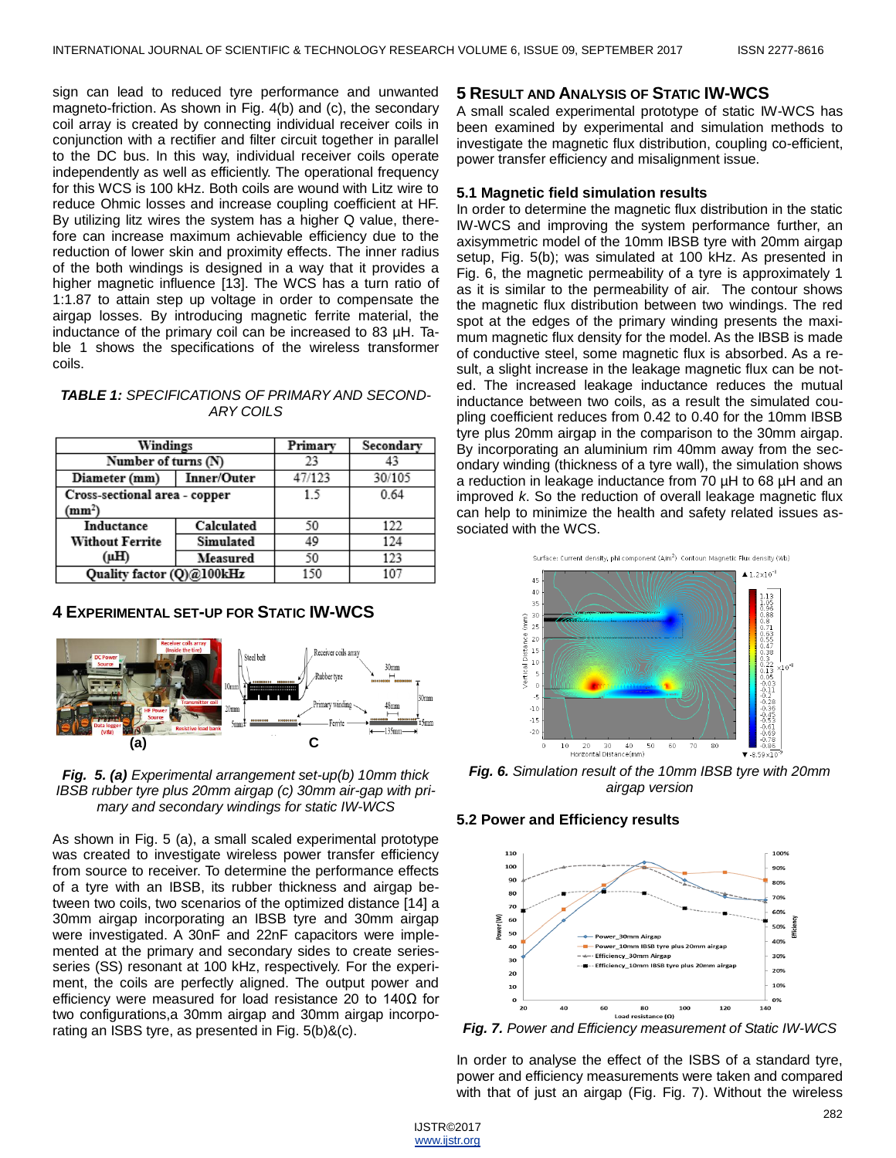sign can lead to reduced tyre performance and unwanted magneto-friction. As shown in Fig. 4(b) and (c), the secondary coil array is created by connecting individual receiver coils in conjunction with a rectifier and filter circuit together in parallel to the DC bus. In this way, individual receiver coils operate independently as well as efficiently. The operational frequency for this WCS is 100 kHz. Both coils are wound with Litz wire to reduce Ohmic losses and increase coupling coefficient at HF. By utilizing litz wires the system has a higher Q value, therefore can increase maximum achievable efficiency due to the reduction of lower skin and proximity effects. The inner radius of the both windings is designed in a way that it provides a higher magnetic influence [13]. The WCS has a turn ratio of 1:1.87 to attain step up voltage in order to compensate the airgap losses. By introducing magnetic ferrite material, the inductance of the primary coil can be increased to 83 µH. Table 1 shows the specifications of the wireless transformer coils.

| Windings                                            |             | Primary | Secondary |
|-----------------------------------------------------|-------------|---------|-----------|
| Number of turns (N)                                 |             | 23      |           |
| Diameter (mm)                                       | Inner/Outer | 47/123  | 30/105    |
| Cross-sectional area - copper<br>(mm <sup>2</sup> ) |             | 15      | 0.64      |
| Inductance                                          | Calculated  | 50      | 122       |
| <b>Without Ferrite</b>                              | Simulated   | 49      | 124       |
| (µH)                                                | Measured    | 50      | 123       |
| Ouality factor (O)@100kHz                           |             | 150     | 107       |

### *TABLE 1: SPECIFICATIONS OF PRIMARY AND SECOND-ARY COILS*

## **4 EXPERIMENTAL SET-UP FOR STATIC IW-WCS**





As shown in Fig. 5 (a), a small scaled experimental prototype was created to investigate wireless power transfer efficiency from source to receiver. To determine the performance effects of a tyre with an IBSB, its rubber thickness and airgap between two coils, two scenarios of the optimized distance [14] a 30mm airgap incorporating an IBSB tyre and 30mm airgap were investigated. A 30nF and 22nF capacitors were implemented at the primary and secondary sides to create seriesseries (SS) resonant at 100 kHz, respectively. For the experiment, the coils are perfectly aligned. The output power and efficiency were measured for load resistance 20 to 140Ω for two configurations,a 30mm airgap and 30mm airgap incorporating an ISBS tyre, as presented in Fig. 5(b)&(c).

## **5 RESULT AND ANALYSIS OF STATIC IW-WCS**

A small scaled experimental prototype of static IW-WCS has been examined by experimental and simulation methods to investigate the magnetic flux distribution, coupling co-efficient, power transfer efficiency and misalignment issue.

#### **5.1 Magnetic field simulation results**

In order to determine the magnetic flux distribution in the static IW-WCS and improving the system performance further, an axisymmetric model of the 10mm IBSB tyre with 20mm airgap setup, Fig. 5(b); was simulated at 100 kHz. As presented in Fig. 6, the magnetic permeability of a tyre is approximately 1 as it is similar to the permeability of air. The contour shows the magnetic flux distribution between two windings. The red spot at the edges of the primary winding presents the maximum magnetic flux density for the model. As the IBSB is made of conductive steel, some magnetic flux is absorbed. As a result, a slight increase in the leakage magnetic flux can be noted. The increased leakage inductance reduces the mutual inductance between two coils, as a result the simulated coupling coefficient reduces from 0.42 to 0.40 for the 10mm IBSB tyre plus 20mm airgap in the comparison to the 30mm airgap. By incorporating an aluminium rim 40mm away from the secondary winding (thickness of a tyre wall), the simulation shows a reduction in leakage inductance from 70 µH to 68 µH and an improved *k*. So the reduction of overall leakage magnetic flux can help to minimize the health and safety related issues associated with the WCS.



*Fig. 6. Simulation result of the 10mm IBSB tyre with 20mm airgap version*

#### **5.2 Power and Efficiency results**



<span id="page-2-0"></span>*Fig. 7. Power and Efficiency measurement of Static IW-WCS*

In order to analyse the effect of the ISBS of a standard tyre, power and efficiency measurements were taken and compared with that of just an airgap [\(Fig. F](#page-2-0)ig. 7). Without the wireless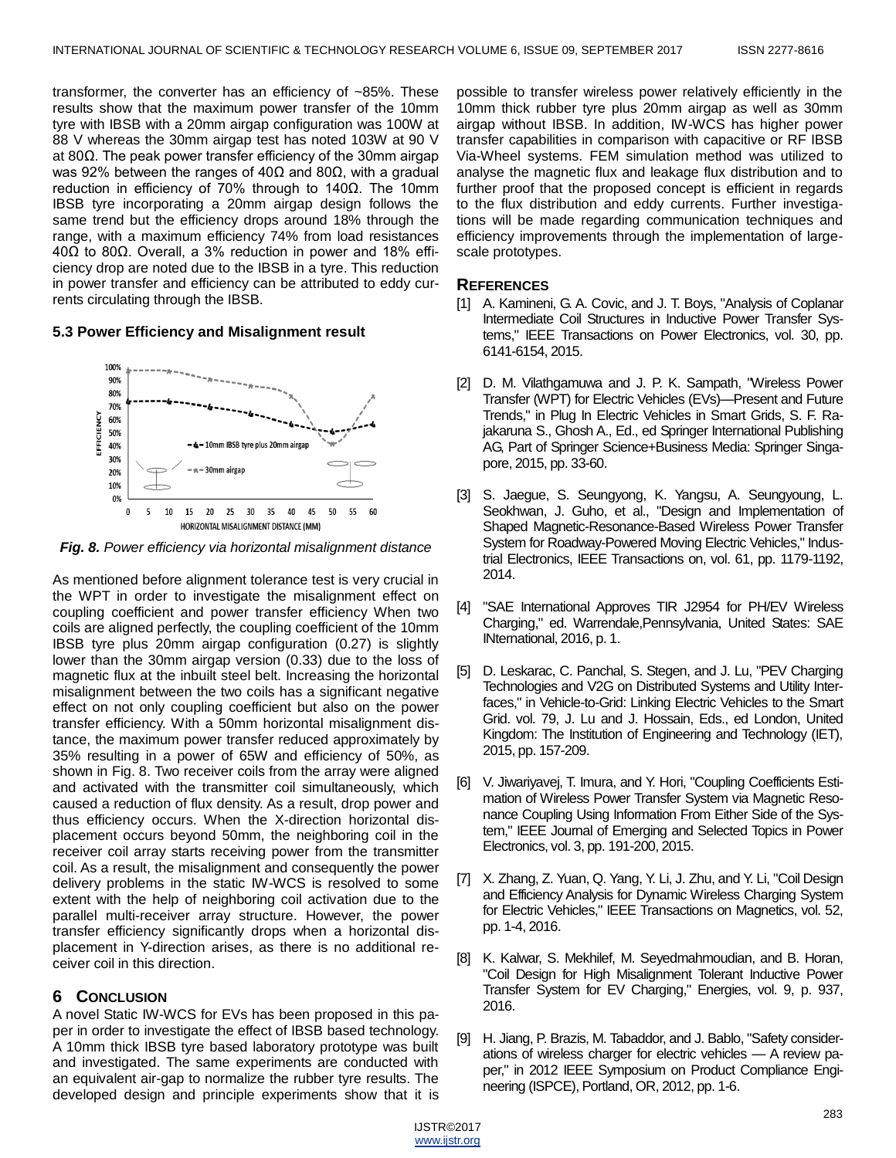transformer, the converter has an efficiency of ~85%. These results show that the maximum power transfer of the 10mm tyre with IBSB with a 20mm airgap configuration was 100W at 88 V whereas the 30mm airgap test has noted 103W at 90 V at 80Ω. The peak power transfer efficiency of the 30mm airgap was 92% between the ranges of 40Ω and 80Ω, with a gradual reduction in efficiency of 70% through to 140Ω. The 10mm IBSB tyre incorporating a 20mm airgap design follows the same trend but the efficiency drops around 18% through the range, with a maximum efficiency 74% from load resistances 40Ω to 80Ω. Overall, a 3% reduction in power and 18% efficiency drop are noted due to the IBSB in a tyre. This reduction in power transfer and efficiency can be attributed to eddy currents circulating through the IBSB.

#### **5.3 Power Efficiency and Misalignment result**



*Fig. 8. Power efficiency via horizontal misalignment distance*

As mentioned before alignment tolerance test is very crucial in the WPT in order to investigate the misalignment effect on coupling coefficient and power transfer efficiency When two coils are aligned perfectly, the coupling coefficient of the 10mm IBSB tyre plus 20mm airgap configuration (0.27) is slightly lower than the 30mm airgap version (0.33) due to the loss of magnetic flux at the inbuilt steel belt. Increasing the horizontal misalignment between the two coils has a significant negative effect on not only coupling coefficient but also on the power transfer efficiency. With a 50mm horizontal misalignment distance, the maximum power transfer reduced approximately by 35% resulting in a power of 65W and efficiency of 50%, as shown in Fig. 8. Two receiver coils from the array were aligned and activated with the transmitter coil simultaneously, which caused a reduction of flux density. As a result, drop power and thus efficiency occurs. When the X-direction horizontal displacement occurs beyond 50mm, the neighboring coil in the receiver coil array starts receiving power from the transmitter coil. As a result, the misalignment and consequently the power delivery problems in the static IW-WCS is resolved to some extent with the help of neighboring coil activation due to the parallel multi-receiver array structure. However, the power transfer efficiency significantly drops when a horizontal displacement in Y-direction arises, as there is no additional receiver coil in this direction.

## **6 CONCLUSION**

A novel Static IW-WCS for EVs has been proposed in this paper in order to investigate the effect of IBSB based technology. A 10mm thick IBSB tyre based laboratory prototype was built and investigated. The same experiments are conducted with an equivalent air-gap to normalize the rubber tyre results. The developed design and principle experiments show that it is possible to transfer wireless power relatively efficiently in the 10mm thick rubber tyre plus 20mm airgap as well as 30mm airgap without IBSB. In addition, IW-WCS has higher power transfer capabilities in comparison with capacitive or RF IBSB Via-Wheel systems. FEM simulation method was utilized to analyse the magnetic flux and leakage flux distribution and to further proof that the proposed concept is efficient in regards to the flux distribution and eddy currents. Further investigations will be made regarding communication techniques and efficiency improvements through the implementation of largescale prototypes.

### **REFERENCES**

- [1] A. Kamineni, G. A. Covic, and J. T. Boys, "Analysis of Coplanar Intermediate Coil Structures in Inductive Power Transfer Systems," IEEE Transactions on Power Electronics, vol. 30, pp. 6141-6154, 2015.
- [2] D. M. Vilathgamuwa and J. P. K. Sampath, "Wireless Power Transfer (WPT) for Electric Vehicles (EVs)—Present and Future Trends," in Plug In Electric Vehicles in Smart Grids, S. F. Rajakaruna S., Ghosh A., Ed., ed Springer International Publishing AG, Part of Springer Science+Business Media: Springer Singapore, 2015, pp. 33-60.
- [3] S. Jaegue, S. Seungyong, K. Yangsu, A. Seungyoung, L. Seokhwan, J. Guho, et al., "Design and Implementation of Shaped Magnetic-Resonance-Based Wireless Power Transfer System for Roadway-Powered Moving Electric Vehicles," Industrial Electronics, IEEE Transactions on, vol. 61, pp. 1179-1192, 2014.
- [4] "SAE International Approves TIR J2954 for PH/EV Wireless Charging," ed. Warrendale,Pennsylvania, United States: SAE INternational, 2016, p. 1.
- [5] D. Leskarac, C. Panchal, S. Stegen, and J. Lu, "PEV Charging Technologies and V2G on Distributed Systems and Utility Interfaces," in Vehicle-to-Grid: Linking Electric Vehicles to the Smart Grid. vol. 79, J. Lu and J. Hossain, Eds., ed London, United Kingdom: The Institution of Engineering and Technology (IET), 2015, pp. 157-209.
- [6] V. Jiwariyavej, T. Imura, and Y. Hori, "Coupling Coefficients Estimation of Wireless Power Transfer System via Magnetic Resonance Coupling Using Information From Either Side of the System," IEEE Journal of Emerging and Selected Topics in Power Electronics, vol. 3, pp. 191-200, 2015.
- [7] X. Zhang, Z. Yuan, Q. Yang, Y. Li, J. Zhu, and Y. Li, "Coil Design and Efficiency Analysis for Dynamic Wireless Charging System for Electric Vehicles," IEEE Transactions on Magnetics, vol. 52, pp. 1-4, 2016.
- [8] K. Kalwar, S. Mekhilef, M. Seyedmahmoudian, and B. Horan, "Coil Design for High Misalignment Tolerant Inductive Power Transfer System for EV Charging," Energies, vol. 9, p. 937, 2016.
- [9] H. Jiang, P. Brazis, M. Tabaddor, and J. Bablo, "Safety considerations of wireless charger for electric vehicles — A review paper," in 2012 IEEE Symposium on Product Compliance Engineering (ISPCE), Portland, OR, 2012, pp. 1-6.